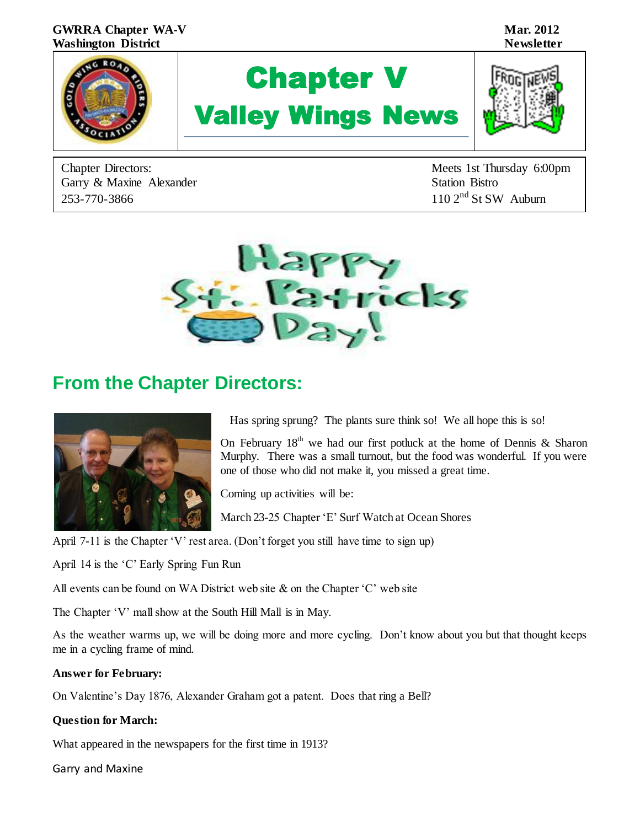

Garry & Maxine Alexander Station Bistro 253-770-3866 110 2<sup>nd</sup> St SW Auburn

Chapter Directors: Meets 1st Thursday 6:00pm



# **From the Chapter Directors:**



Has spring sprung? The plants sure think so! We all hope this is so!

On February  $18<sup>th</sup>$  we had our first potluck at the home of Dennis & Sharon Murphy. There was a small turnout, but the food was wonderful. If you were one of those who did not make it, you missed a great time.

Coming up activities will be:

March 23-25 Chapter 'E' Surf Watch at Ocean Shores

April 7-11 is the Chapter 'V' rest area. (Don't forget you still have time to sign up)

April 14 is the 'C' Early Spring Fun Run

All events can be found on WA District web site  $\&$  on the Chapter 'C' web site

The Chapter 'V' mall show at the South Hill Mall is in May.

As the weather warms up, we will be doing more and more cycling. Don't know about you but that thought keeps me in a cycling frame of mind.

#### **Answer for February:**

On Valentine's Day 1876, Alexander Graham got a patent. Does that ring a Bell?

#### **Question for March:**

What appeared in the newspapers for the first time in 1913?

Garry and Maxine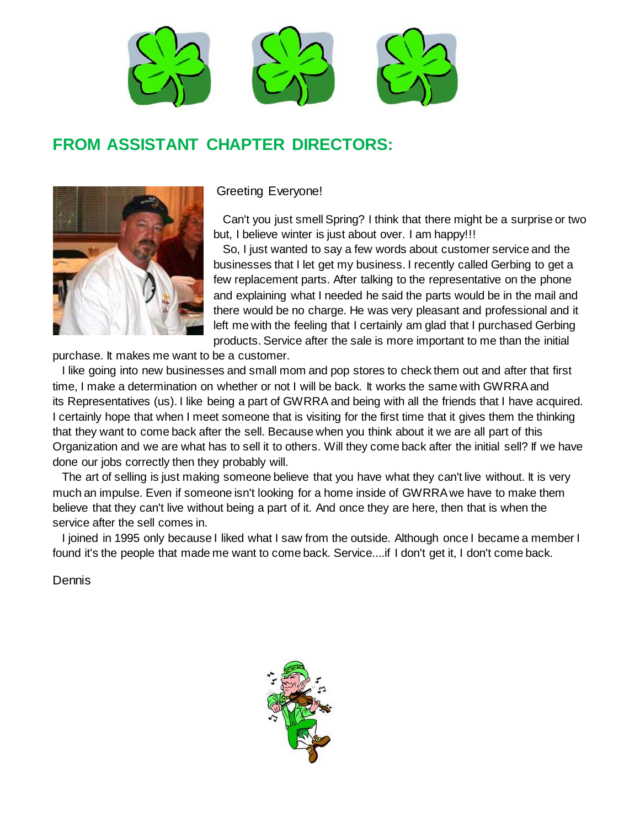

# **FROM ASSISTANT CHAPTER DIRECTORS:**



Greeting Everyone!

 Can't you just smell Spring? I think that there might be a surprise or two but, I believe winter is just about over. I am happy!!!

 So, I just wanted to say a few words about customer service and the businesses that I let get my business. I recently called Gerbing to get a few replacement parts. After talking to the representative on the phone and explaining what I needed he said the parts would be in the mail and there would be no charge. He was very pleasant and professional and it left me with the feeling that I certainly am glad that I purchased Gerbing products. Service after the sale is more important to me than the initial

purchase. It makes me want to be a customer.

 I like going into new businesses and small mom and pop stores to check them out and after that first time, I make a determination on whether or not I will be back. It works the same with GWRRA and its Representatives (us). I like being a part of GWRRA and being with all the friends that I have acquired. I certainly hope that when I meet someone that is visiting for the first time that it gives them the thinking that they want to come back after the sell. Because when you think about it we are all part of this Organization and we are what has to sell it to others. Will they come back after the initial sell? If we have done our jobs correctly then they probably will.

 The art of selling is just making someone believe that you have what they can't live without. It is very much an impulse. Even if someone isn't looking for a home inside of GWRRA we have to make them believe that they can't live without being a part of it. And once they are here, then that is when the service after the sell comes in.

 I joined in 1995 only because I liked what I saw from the outside. Although once I became a member I found it's the people that made me want to come back. Service....if I don't get it, I don't come back.

**Dennis** 

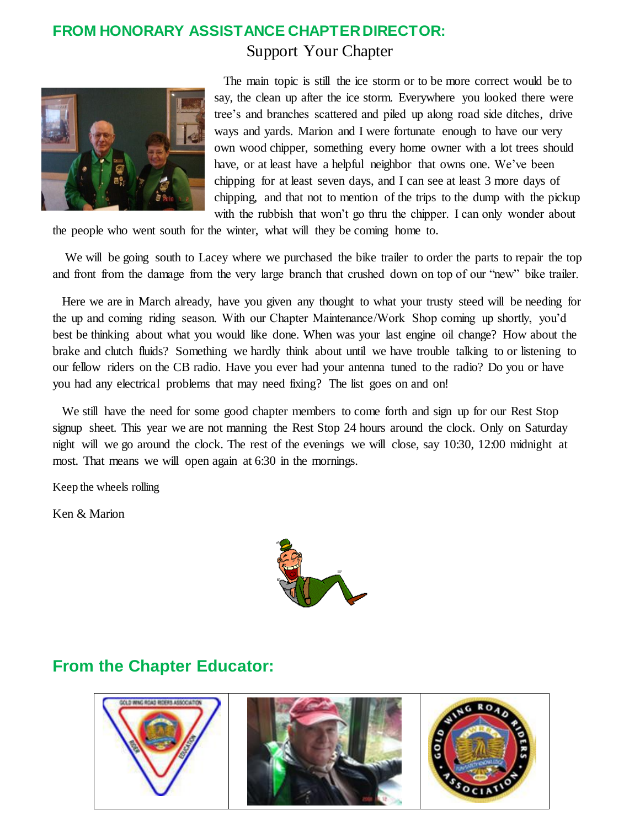### **FROM HONORARY ASSISTANCE CHAPTER DIRECTOR:** Support Your Chapter



 The main topic is still the ice storm or to be more correct would be to say, the clean up after the ice storm. Everywhere you looked there were tree's and branches scattered and piled up along road side ditches, drive ways and yards. Marion and I were fortunate enough to have our very own wood chipper, something every home owner with a lot trees should have, or at least have a helpful neighbor that owns one. We've been chipping for at least seven days, and I can see at least 3 more days of chipping, and that not to mention of the trips to the dump with the pickup with the rubbish that won't go thru the chipper. I can only wonder about

the people who went south for the winter, what will they be coming home to.

 We will be going south to Lacey where we purchased the bike trailer to order the parts to repair the top and front from the damage from the very large branch that crushed down on top of our "new" bike trailer.

 Here we are in March already, have you given any thought to what your trusty steed will be needing for the up and coming riding season. With our Chapter Maintenance/Work Shop coming up shortly, you'd best be thinking about what you would like done. When was your last engine oil change? How about the brake and clutch fluids? Something we hardly think about until we have trouble talking to or listening to our fellow riders on the CB radio. Have you ever had your antenna tuned to the radio? Do you or have you had any electrical problems that may need fixing? The list goes on and on!

 We still have the need for some good chapter members to come forth and sign up for our Rest Stop signup sheet. This year we are not manning the Rest Stop 24 hours around the clock. Only on Saturday night will we go around the clock. The rest of the evenings we will close, say 10:30, 12:00 midnight at most. That means we will open again at 6:30 in the mornings.

Keep the wheels rolling

Ken & Marion



## **From the Chapter Educator:**

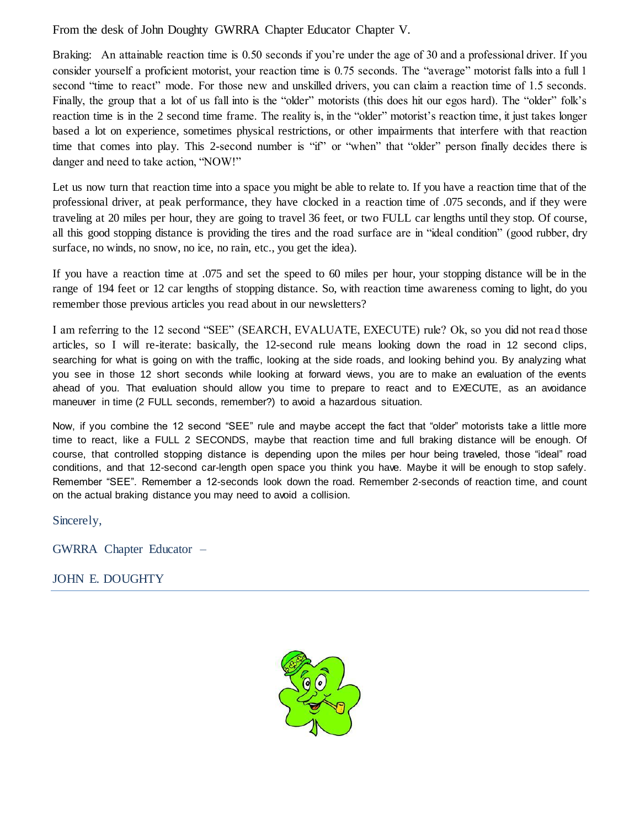#### From the desk of John Doughty GWRRA Chapter Educator Chapter V.

Braking: An attainable reaction time is 0.50 seconds if you're under the age of 30 and a professional driver. If you consider yourself a proficient motorist, your reaction time is 0.75 seconds. The "average" motorist falls into a full 1 second "time to react" mode. For those new and unskilled drivers, you can claim a reaction time of 1.5 seconds. Finally, the group that a lot of us fall into is the "older" motorists (this does hit our egos hard). The "older" folk's reaction time is in the 2 second time frame. The reality is, in the "older" motorist's reaction time, it just takes longer based a lot on experience, sometimes physical restrictions, or other impairments that interfere with that reaction time that comes into play. This 2-second number is "if" or "when" that "older" person finally decides there is danger and need to take action, "NOW!"

Let us now turn that reaction time into a space you might be able to relate to. If you have a reaction time that of the professional driver, at peak performance, they have clocked in a reaction time of .075 seconds, and if they were traveling at 20 miles per hour, they are going to travel 36 feet, or two FULL car lengths until they stop. Of course, all this good stopping distance is providing the tires and the road surface are in "ideal condition" (good rubber, dry surface, no winds, no snow, no ice, no rain, etc., you get the idea).

If you have a reaction time at .075 and set the speed to 60 miles per hour, your stopping distance will be in the range of 194 feet or 12 car lengths of stopping distance. So, with reaction time awareness coming to light, do you remember those previous articles you read about in our newsletters?

I am referring to the 12 second "SEE" (SEARCH, EVALUATE, EXECUTE) rule? Ok, so you did not read those articles, so I will re-iterate: basically, the 12-second rule means looking down the road in 12 second clips, searching for what is going on with the traffic, looking at the side roads, and looking behind you. By analyzing what you see in those 12 short seconds while looking at forward views, you are to make an evaluation of the events ahead of you. That evaluation should allow you time to prepare to react and to EXECUTE, as an avoidance maneuver in time (2 FULL seconds, remember?) to avoid a hazardous situation.

Now, if you combine the 12 second "SEE" rule and maybe accept the fact that "older" motorists take a little more time to react, like a FULL 2 SECONDS, maybe that reaction time and full braking distance will be enough. Of course, that controlled stopping distance is depending upon the miles per hour being traveled, those "ideal" road conditions, and that 12-second car-length open space you think you have. Maybe it will be enough to stop safely. Remember "SEE". Remember a 12-seconds look down the road. Remember 2-seconds of reaction time, and count on the actual braking distance you may need to avoid a collision.

Sincerely,

GWRRA Chapter Educator –

JOHN E. DOUGHTY

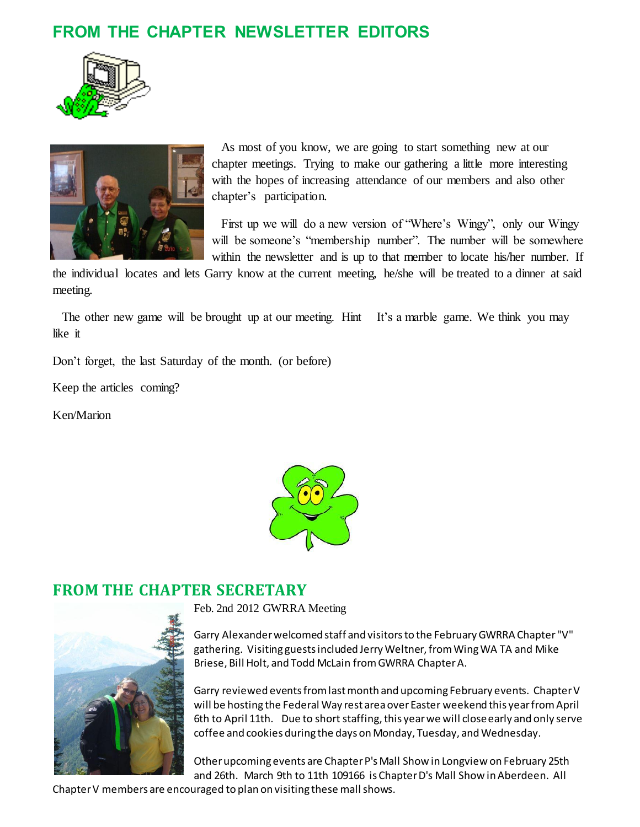# **FROM THE CHAPTER NEWSLETTER EDITORS**





 As most of you know, we are going to start something new at our chapter meetings. Trying to make our gathering a little more interesting with the hopes of increasing attendance of our members and also other chapter's participation.

 First up we will do a new version of "Where's Wingy", only our Wingy will be someone's "membership number". The number will be somewhere within the newsletter and is up to that member to locate his/her number. If

the individual locates and lets Garry know at the current meeting, he/she will be treated to a dinner at said meeting.

The other new game will be brought up at our meeting. Hint It's a marble game. We think you may like it

Don't forget, the last Saturday of the month. (or before)

Keep the articles coming?

Ken/Marion



## **FROM THE CHAPTER SECRETARY**



Feb. 2nd 2012 GWRRA Meeting

Garry Alexander welcomed staff and visitors to the February GWRRA Chapter "V" gathering. Visiting guests included Jerry Weltner, from Wing WA TA and Mike Briese, Bill Holt, and Todd McLain from GWRRA Chapter A.

Garry reviewed events from last month and upcoming February events. Chapter V will be hosting the Federal Way rest area over Easter weekend this year from April 6th to April 11th. Due to short staffing, this year we will close early and only serve coffee and cookies during the days on Monday, Tuesday, and Wednesday.

Other upcoming events are Chapter P's Mall Show in Longview on February 25th and 26th. March 9th to 11th 109166 is Chapter D's Mall Show in Aberdeen. All

Chapter V members are encouraged to plan on visiting these mall shows.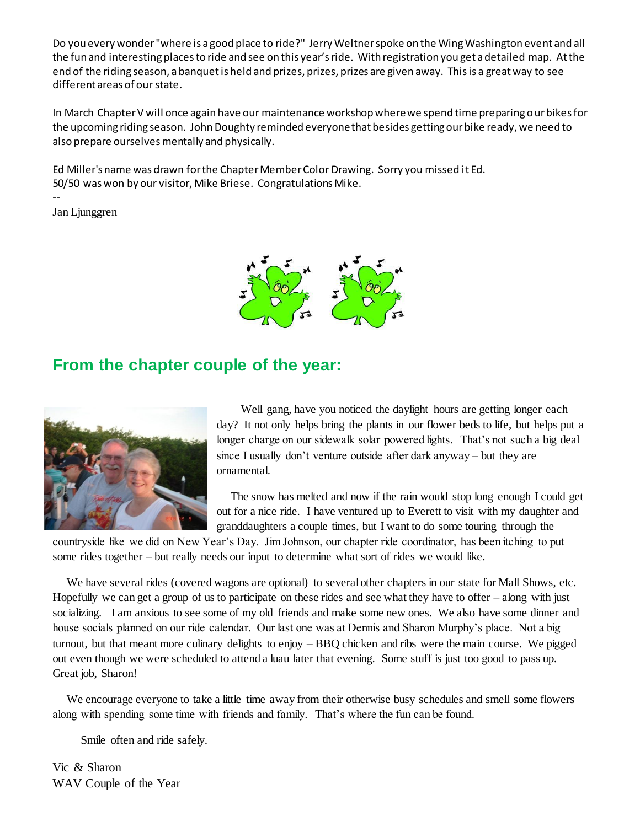Do you every wonder "where is a good place to ride?" Jerry Weltner spoke on the Wing Washington event and all the fun and interesting places to ride and see on this year's ride. With registration you get a detailed map. At the end of the riding season, a banquet is held and prizes, prizes, prizes are given away. This is a great way to see different areas of our state.

In March Chapter V will once again have our maintenance workshop where we spend time preparing our bikes for the upcoming riding season. John Doughty reminded everyone that besides getting our bike ready, we need to also prepare ourselves mentally and physically.

Ed Miller's name was drawn for the Chapter Member Color Drawing. Sorry you missed it Ed. 50/50 was won by our visitor, Mike Briese. Congratulations Mike.

Jan Ljunggren

--



#### **From the chapter couple of the year:**



 Well gang, have you noticed the daylight hours are getting longer each day? It not only helps bring the plants in our flower beds to life, but helps put a longer charge on our sidewalk solar powered lights. That's not such a big deal since I usually don't venture outside after dark anyway – but they are ornamental.

The snow has melted and now if the rain would stop long enough I could get out for a nice ride. I have ventured up to Everett to visit with my daughter and granddaughters a couple times, but I want to do some touring through the

countryside like we did on New Year's Day. Jim Johnson, our chapter ride coordinator, has been itching to put some rides together – but really needs our input to determine what sort of rides we would like.

We have several rides (covered wagons are optional) to several other chapters in our state for Mall Shows, etc. Hopefully we can get a group of us to participate on these rides and see what they have to offer – along with just socializing. I am anxious to see some of my old friends and make some new ones. We also have some dinner and house socials planned on our ride calendar. Our last one was at Dennis and Sharon Murphy's place. Not a big turnout, but that meant more culinary delights to enjoy – BBQ chicken and ribs were the main course. We pigged out even though we were scheduled to attend a luau later that evening. Some stuff is just too good to pass up. Great job, Sharon!

We encourage everyone to take a little time away from their otherwise busy schedules and smell some flowers along with spending some time with friends and family. That's where the fun can be found.

Smile often and ride safely.

Vic & Sharon WAV Couple of the Year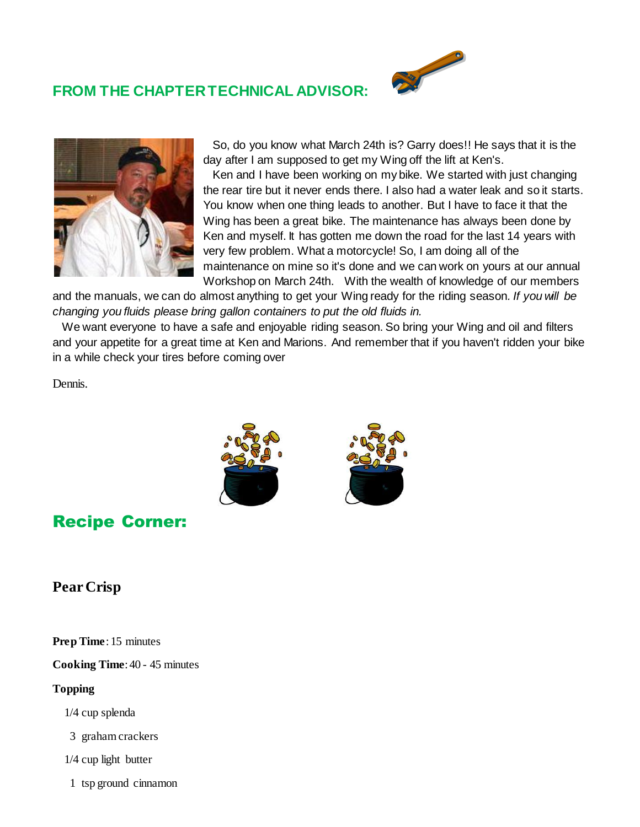## **FROM THE CHAPTER TECHNICAL ADVISOR:**





So, do you know what March 24th is? Garry does!! He says that it is the day after I am supposed to get my Wing off the lift at Ken's.

 Ken and I have been working on my bike. We started with just changing the rear tire but it never ends there. I also had a water leak and so it starts. You know when one thing leads to another. But I have to face it that the Wing has been a great bike. The maintenance has always been done by Ken and myself. It has gotten me down the road for the last 14 years with very few problem. What a motorcycle! So, I am doing all of the maintenance on mine so it's done and we can work on yours at our annual Workshop on March 24th. With the wealth of knowledge of our members

and the manuals, we can do almost anything to get your Wing ready for the riding season*. If you will be changing you fluids please bring gallon containers to put the old fluids in.*

We want everyone to have a safe and enjoyable riding season. So bring your Wing and oil and filters and your appetite for a great time at Ken and Marions. And remember that if you haven't ridden your bike in a while check your tires before coming over

Dennis.





# Recipe Corner:

#### **Pear Crisp**

**Prep Time**: 15 minutes

**Cooking Time**: 40 - 45 minutes

**Topping**

- 1/4 cup splenda
- 3 graham crackers
- 1/4 cup light butter
- 1 tsp ground cinnamon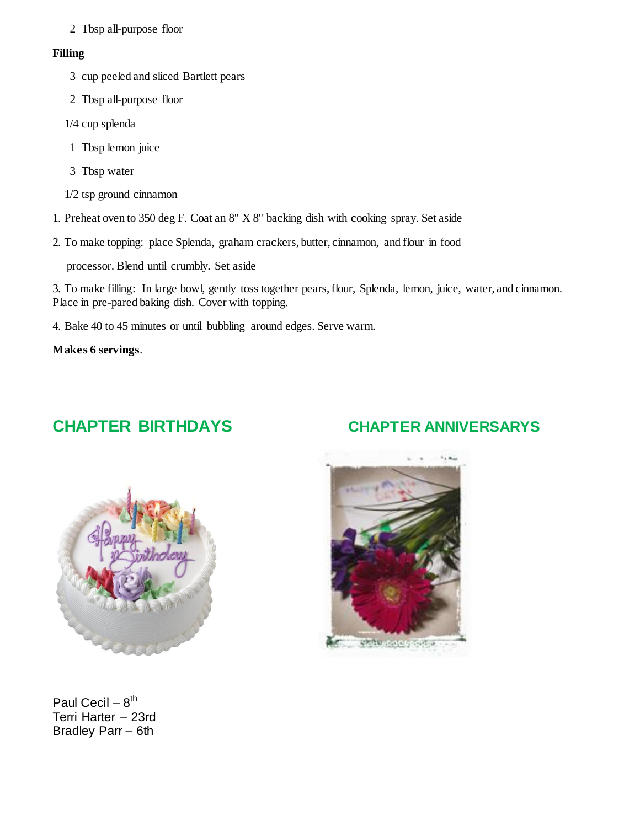2 Tbsp all-purpose floor

#### **Filling**

- 3 cup peeled and sliced Bartlett pears
- 2 Tbsp all-purpose floor
- 1/4 cup splenda
- 1 Tbsp lemon juice
- 3 Tbsp water
- 1/2 tsp ground cinnamon
- 1. Preheat oven to 350 deg F. Coat an 8" X 8" backing dish with cooking spray. Set aside
- 2. To make topping: place Splenda, graham crackers, butter, cinnamon, and flour in food

processor. Blend until crumbly. Set aside

3. To make filling: In large bowl, gently toss together pears, flour, Splenda, lemon, juice, water, and cinnamon. Place in pre-pared baking dish. Cover with topping.

4. Bake 40 to 45 minutes or until bubbling around edges. Serve warm.

**Makes 6 servings**.

# **CHAPTER BIRTHDAYS CHAPTER ANNIVERSARYS**



Paul Cecil – 8<sup>th</sup> Terri Harter – 23rd Bradley Parr – 6th